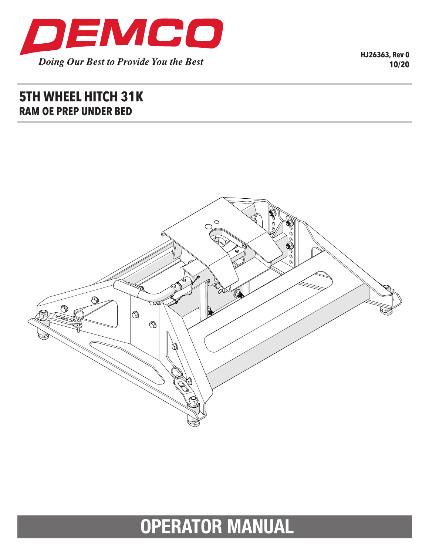

**HJ26363, Rev 0 10/20**

## **5TH WHEEL HITCH 31K RAM OE PREP UNDER BED**



# **OPERATOR MANUAL**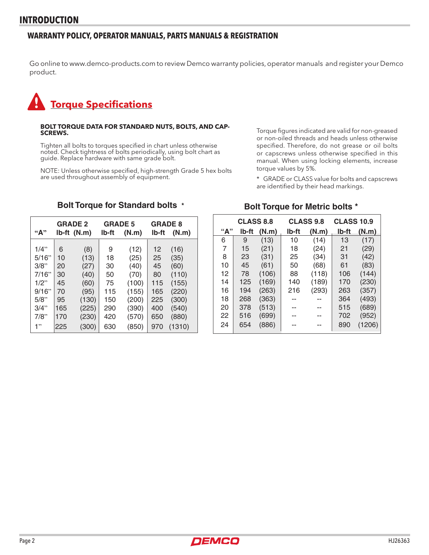#### **WARRANTY POLICY, OPERATOR MANUALS, PARTS MANUALS & REGISTRATION**

Go online to www.demco-products.com to review Demco warranty policies, operator manuals and register your Demco product.

# **Torque Specifications**

## **BOLT TORQUE DATA FOR STANDARD NUTS, BOLTS, AND CAP- SCREWS.**

Tighten all bolts to torques specified in chart unless otherwise noted. Check tightness of bolts periodically, using bolt chart as guide. Replace hardware with same grade bolt.

NOTE: Unless otherwise specified, high-strength Grade 5 hex bolts are used throughout assembly of equipment.

Torque figures indicated are valid for non-greased or non-oiled threads and heads unless otherwise specified. Therefore, do not grease or oil bolts or capscrews unless otherwise specified in this manual. When using locking elements, increase torque values by 5%.

\* GRADE or CLASS value for bolts and capscrews are identified by their head markings.

#### **GRADE 2 GRADE 5 GRADE 8 "A" lb-ft (N.m) lb-ft (N.m) lb-ft (N.m)**  $1/4$ " | 6 (8) | 9 (12) | 12 (16) 5/16" 10 (13) 18 (25) 25 (35) 3/8" 20 (27) 30 (40) 45 (60) 7/16" 30 (40) 50 (70) 80 (110) 1/2" 45 (60) 75 (100) 115 (155) 9/16" 70 (95) 115 (155) 165 (220) 5/8" 95 (130) 150 (200) 225 (300) 3/4" 165 (225) 290 (390) 400 (540) 7/8" 170 (230) 420 (570) 650 (880) 1" 225 (300) 630 (850) 970 (1310)

#### **Bolt Torque for Standard bolts \***

## **Bolt Torque for Metric bolts \***

|     | <b>CLASS 8.8</b> |       | <b>CLASS 9.8</b> |       | <b>CLASS 10.9</b> |        |
|-----|------------------|-------|------------------|-------|-------------------|--------|
| "А" | lb-ft            | (N.m) | lb-ft            | (N.m) | Ib-ft             | (N.m)  |
| 6   | 9                | (13)  | 10               | (14)  | 13                | (17)   |
| 7   | 15               | (21)  | 18               | (24)  | 21                | (29)   |
| 8   | 23               | (31)  | 25               | (34)  | 31                | (42)   |
| 10  | 45               | (61)  | 50               | (68)  | 61                | (83)   |
| 12  | 78               | (106) | 88               | (118) | 106               | (144)  |
| 14  | 125              | (169) | 140              | (189) | 170               | (230)  |
| 16  | 194              | (263) | 216              | (293) | 263               | (357)  |
| 18  | 268              | (363) |                  |       | 364               | (493)  |
| 20  | 378              | (513) |                  |       | 515               | (689)  |
| 22  | 516              | (699) |                  |       | 702               | (952)  |
| 24  | 654              | (886) |                  |       | 890               | (1206) |

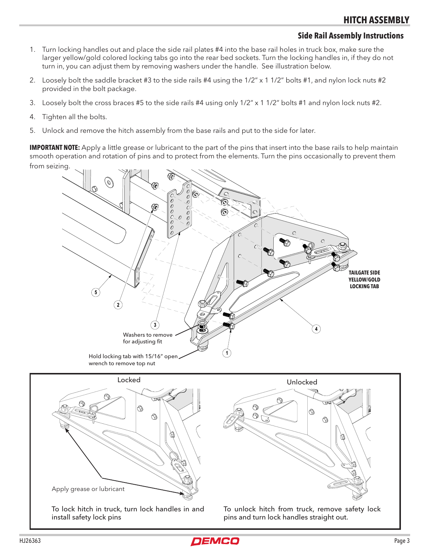#### **Side Rail Assembly Instructions**

- 1. Turn locking handles out and place the side rail plates #4 into the base rail holes in truck box, make sure the larger yellow/gold colored locking tabs go into the rear bed sockets. Turn the locking handles in, if they do not turn in, you can adjust them by removing washers under the handle. See illustration below.
- 2. Loosely bolt the saddle bracket #3 to the side rails #4 using the 1/2" x 1 1/2" bolts #1, and nylon lock nuts #2 provided in the bolt package.
- 3. Loosely bolt the cross braces #5 to the side rails #4 using only 1/2" x 1 1/2" bolts #1 and nylon lock nuts #2.
- 4. Tighten all the bolts.
- 5. Unlock and remove the hitch assembly from the base rails and put to the side for later.

**IMPORTANT NOTE:** Apply a little grease or lubricant to the part of the pins that insert into the base rails to help maintain smooth operation and rotation of pins and to protect from the elements. Turn the pins occasionally to prevent them from seizing.